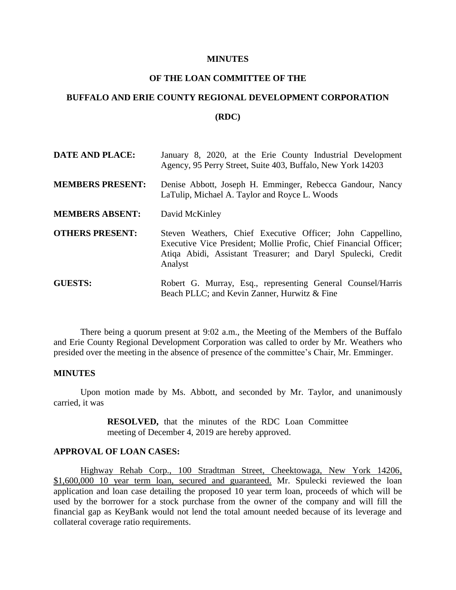#### **MINUTES**

## **OF THE LOAN COMMITTEE OF THE**

# **BUFFALO AND ERIE COUNTY REGIONAL DEVELOPMENT CORPORATION**

### **(RDC)**

| <b>DATE AND PLACE:</b>  | January 8, 2020, at the Erie County Industrial Development<br>Agency, 95 Perry Street, Suite 403, Buffalo, New York 14203                                                                                  |
|-------------------------|------------------------------------------------------------------------------------------------------------------------------------------------------------------------------------------------------------|
| <b>MEMBERS PRESENT:</b> | Denise Abbott, Joseph H. Emminger, Rebecca Gandour, Nancy<br>LaTulip, Michael A. Taylor and Royce L. Woods                                                                                                 |
| <b>MEMBERS ABSENT:</b>  | David McKinley                                                                                                                                                                                             |
| <b>OTHERS PRESENT:</b>  | Steven Weathers, Chief Executive Officer; John Cappellino,<br>Executive Vice President; Mollie Profic, Chief Financial Officer;<br>Atiqa Abidi, Assistant Treasurer; and Daryl Spulecki, Credit<br>Analyst |
| <b>GUESTS:</b>          | Robert G. Murray, Esq., representing General Counsel/Harris<br>Beach PLLC; and Kevin Zanner, Hurwitz & Fine                                                                                                |

There being a quorum present at 9:02 a.m., the Meeting of the Members of the Buffalo and Erie County Regional Development Corporation was called to order by Mr. Weathers who presided over the meeting in the absence of presence of the committee's Chair, Mr. Emminger.

## **MINUTES**

Upon motion made by Ms. Abbott, and seconded by Mr. Taylor, and unanimously carried, it was

> **RESOLVED,** that the minutes of the RDC Loan Committee meeting of December 4, 2019 are hereby approved.

## **APPROVAL OF LOAN CASES:**

Highway Rehab Corp., 100 Stradtman Street, Cheektowaga, New York 14206, \$1,600,000 10 year term loan, secured and guaranteed. Mr. Spulecki reviewed the loan application and loan case detailing the proposed 10 year term loan, proceeds of which will be used by the borrower for a stock purchase from the owner of the company and will fill the financial gap as KeyBank would not lend the total amount needed because of its leverage and collateral coverage ratio requirements.